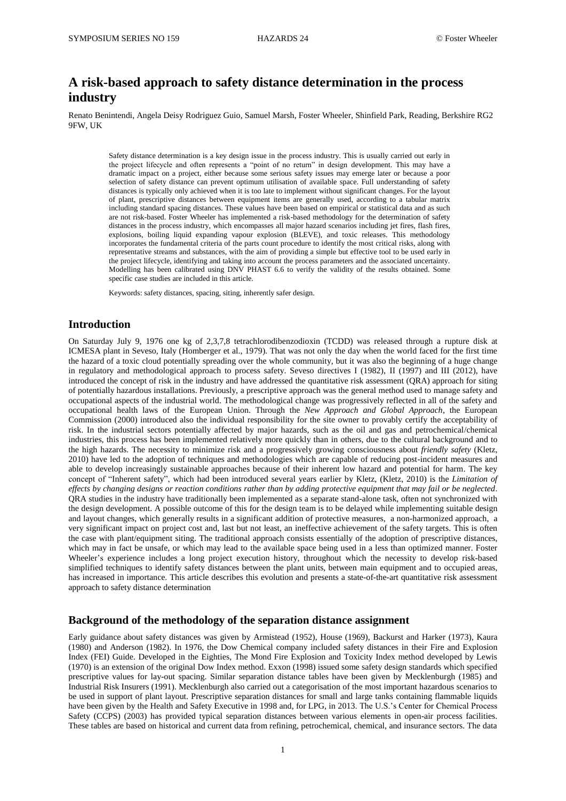# **A risk-based approach to safety distance determination in the process industry**

Renato Benintendi, Angela Deisy Rodriguez Guio, Samuel Marsh, Foster Wheeler, Shinfield Park, Reading, Berkshire RG2 9FW, UK

Safety distance determination is a key design issue in the process industry. This is usually carried out early in the project lifecycle and often represents a "point of no return" in design development. This may have a dramatic impact on a project, either because some serious safety issues may emerge later or because a poor selection of safety distance can prevent optimum utilisation of available space. Full understanding of safety distances is typically only achieved when it is too late to implement without significant changes. For the layout of plant, prescriptive distances between equipment items are generally used, according to a tabular matrix including standard spacing distances. These values have been based on empirical or statistical data and as such are not risk-based. Foster Wheeler has implemented a risk-based methodology for the determination of safety distances in the process industry, which encompasses all major hazard scenarios including jet fires, flash fires, explosions, boiling liquid expanding vapour explosion (BLEVE), and toxic releases. This methodology incorporates the fundamental criteria of the parts count procedure to identify the most critical risks, along with representative streams and substances, with the aim of providing a simple but effective tool to be used early in the project lifecycle, identifying and taking into account the process parameters and the associated uncertainty. Modelling has been calibrated using DNV PHAST 6.6 to verify the validity of the results obtained. Some specific case studies are included in this article.

Keywords: safety distances, spacing, siting, inherently safer design.

# **Introduction**

On Saturday July 9, 1976 one kg of 2,3,7,8 tetrachlorodibenzodioxin (TCDD) was released through a rupture disk at ICMESA plant in Seveso, Italy (Homberger et al., 1979). That was not only the day when the world faced for the first time the hazard of a toxic cloud potentially spreading over the whole community, but it was also the beginning of a huge change in regulatory and methodological approach to process safety. Seveso directives I (1982), II (1997) and III (2012), have introduced the concept of risk in the industry and have addressed the quantitative risk assessment (QRA) approach for siting of potentially hazardous installations. Previously, a prescriptive approach was the general method used to manage safety and occupational aspects of the industrial world. The methodological change was progressively reflected in all of the safety and occupational health laws of the European Union. Through the *New Approach and Global Approach*, the European Commission (2000) introduced also the individual responsibility for the site owner to provably certify the acceptability of risk. In the industrial sectors potentially affected by major hazards, such as the oil and gas and petrochemical/chemical industries, this process has been implemented relatively more quickly than in others, due to the cultural background and to the high hazards. The necessity to minimize risk and a progressively growing consciousness about *friendly safety* (Kletz, 2010) have led to the adoption of techniques and methodologies which are capable of reducing post-incident measures and able to develop increasingly sustainable approaches because of their inherent low hazard and potential for harm. The key concept of "Inherent safety", which had been introduced several years earlier by Kletz, (Kletz, 2010) is the *Limitation of effects by changing designs or reaction conditions rather than by adding protective equipment that may fail or be neglected*. QRA studies in the industry have traditionally been implemented as a separate stand-alone task, often not synchronized with the design development. A possible outcome of this for the design team is to be delayed while implementing suitable design and layout changes, which generally results in a significant addition of protective measures, a non-harmonized approach, a very significant impact on project cost and, last but not least, an ineffective achievement of the safety targets. This is often the case with plant/equipment siting. The traditional approach consists essentially of the adoption of prescriptive distances, which may in fact be unsafe, or which may lead to the available space being used in a less than optimized manner. Foster Wheeler's experience includes a long project execution history, throughout which the necessity to develop risk-based simplified techniques to identify safety distances between the plant units, between main equipment and to occupied areas, has increased in importance. This article describes this evolution and presents a state-of-the-art quantitative risk assessment approach to safety distance determination

# **Background of the methodology of the separation distance assignment**

Early guidance about safety distances was given by Armistead (1952), House (1969), Backurst and Harker (1973), Kaura (1980) and Anderson (1982). In 1976, the Dow Chemical company included safety distances in their Fire and Explosion Index (FEI) Guide. Developed in the Eighties, The Mond Fire Explosion and Toxicity Index method developed by Lewis (1970) is an extension of the original Dow Index method. Exxon (1998) issued some safety design standards which specified prescriptive values for lay-out spacing. Similar separation distance tables have been given by Mecklenburgh (1985) and Industrial Risk Insurers (1991). Mecklenburgh also carried out a categorisation of the most important hazardous scenarios to be used in support of plant layout. Prescriptive separation distances for small and large tanks containing flammable liquids have been given by the Health and Safety Executive in 1998 and, for LPG, in 2013. The U.S.'s Center for Chemical Process Safety (CCPS) (2003) has provided typical separation distances between various elements in open-air process facilities. These tables are based on historical and current data from refining, petrochemical, chemical, and insurance sectors. The data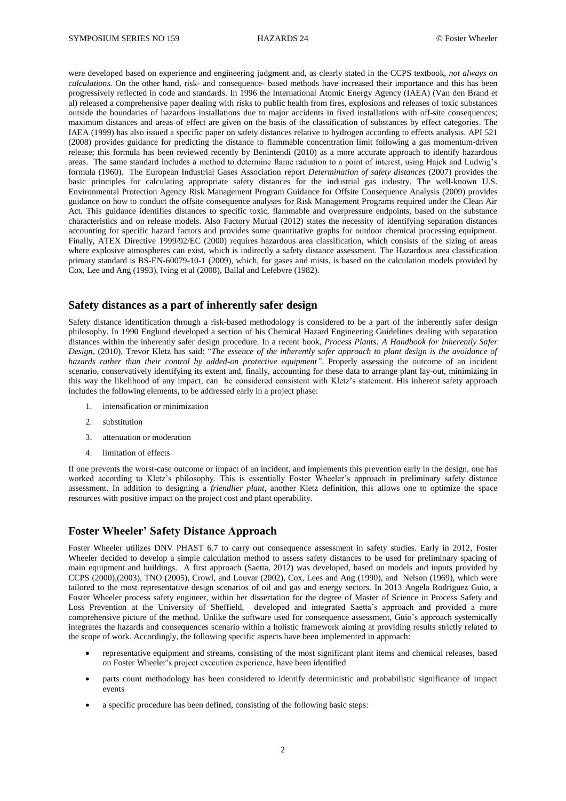were developed based on experience and engineering judgment and, as clearly stated in the CCPS textbook, *not always on calculations.* On the other hand, risk- and consequence- based methods have increased their importance and this has been progressively reflected in code and standards. In 1996 the International Atomic Energy Agency (IAEA) (Van den Brand et al) released a comprehensive paper dealing with risks to public health from fires, explosions and releases of toxic substances outside the boundaries of hazardous installations due to major accidents in fixed installations with off-site consequences; maximum distances and areas of effect are given on the basis of the classification of substances by effect categories. The IAEA (1999) has also issued a specific paper on safety distances relative to hydrogen according to effects analysis. API 521 (2008) provides guidance for predicting the distance to flammable concentration limit following a gas momentum-driven release; this formula has been reviewed recently by Benintendi (2010) as a more accurate approach to identify hazardous areas. The same standard includes a method to determine flame radiation to a point of interest, using Hajek and Ludwig's formula (1960). The European Industrial Gases Association report *Determination of safety distances* (2007) provides the basic principles for calculating appropriate safety distances for the industrial gas industry. The well-known U.S. Environmental Protection Agency Risk Management Program Guidance for Offsite Consequence Analysis (2009) provides guidance on how to conduct the offsite consequence analyses for Risk Management Programs required under the Clean Air Act. This guidance identifies distances to specific toxic, flammable and overpressure endpoints, based on the substance characteristics and on release models. Also Factory Mutual (2012) states the necessity of identifying separation distances accounting for specific hazard factors and provides some quantitative graphs for outdoor chemical processing equipment. Finally, ATEX Directive 1999/92/EC (2000) requires hazardous area classification, which consists of the sizing of areas where explosive atmospheres can exist, which is indirectly a safety distance assessment. The Hazardous area classification primary standard is BS-EN-60079-10-1 (2009), which, for gases and mists, is based on the calculation models provided by Cox, Lee and Ang (1993), Iving et al (2008), Ballal and Lefebvre (1982).

## **Safety distances as a part of inherently safer design**

Safety distance identification through a risk-based methodology is considered to be a part of the inherently safer design philosophy. In 1990 Englund developed a section of his Chemical Hazard Engineering Guidelines dealing with separation distances within the inherently safer design procedure. In a recent book*, Process Plants: A Handbook for Inherently Safer Design*, (2010), Trevor Kletz has said: "*The essence of the inherently safer approach to plant design is the avoidance of hazards rather than their control by added-on protective equipment"*. Properly assessing the outcome of an incident scenario, conservatively identifying its extent and, finally, accounting for these data to arrange plant lay-out, minimizing in this way the likelihood of any impact, can be considered consistent with Kletz's statement. His inherent safety approach includes the following elements, to be addressed early in a project phase:

- 1. intensification or minimization
- 2. substitution
- 3. attenuation or moderation
- 4. limitation of effects

If one prevents the worst-case outcome or impact of an incident, and implements this prevention early in the design, one has worked according to Kletz's philosophy. This is essentially Foster Wheeler's approach in preliminary safety distance assessment. In addition to designing a *friendlier plant*, another Kletz definition, this allows one to optimize the space resources with positive impact on the project cost and plant operability.

## **Foster Wheeler' Safety Distance Approach**

Foster Wheeler utilizes DNV PHAST 6.7 to carry out consequence assessment in safety studies. Early in 2012, Foster Wheeler decided to develop a simple calculation method to assess safety distances to be used for preliminary spacing of main equipment and buildings. A first approach (Saetta, 2012) was developed, based on models and inputs provided by CCPS (2000),(2003), TNO (2005), Crowl, and Louvar (2002), Cox, Lees and Ang (1990), and Nelson (1969), which were tailored to the most representative design scenarios of oil and gas and energy sectors. In 2013 Angela Rodriguez Guio, a Foster Wheeler process safety engineer, within her dissertation for the degree of Master of Science in Process Safety and Loss Prevention at the University of Sheffield, developed and integrated Saetta's approach and provided a more comprehensive picture of the method. Unlike the software used for consequence assessment, Guio's approach systemically integrates the hazards and consequences scenario within a holistic framework aiming at providing results strictly related to the scope of work. Accordingly, the following specific aspects have been implemented in approach:

- representative equipment and streams, consisting of the most significant plant items and chemical releases, based on Foster Wheeler's project execution experience, have been identified
- parts count methodology has been considered to identify deterministic and probabilistic significance of impact events
- a specific procedure has been defined, consisting of the following basic steps: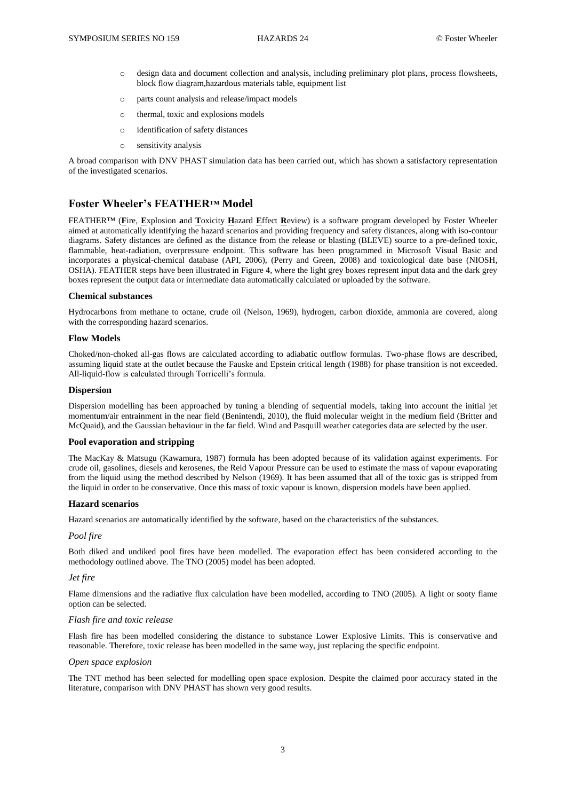- o design data and document collection and analysis, including preliminary plot plans, process flowsheets, block flow diagram,hazardous materials table, equipment list
- o parts count analysis and release/impact models
- o thermal, toxic and explosions models
- o identification of safety distances
- o sensitivity analysis

A broad comparison with DNV PHAST simulation data has been carried out, which has shown a satisfactory representation of the investigated scenarios.

# **Foster Wheeler's FEATHER™ Model**

FEATHER™ (**F**ire, **E**xplosion **a**nd **T**oxicity **H**azard **E**ffect **R**eview) is a software program developed by Foster Wheeler aimed at automatically identifying the hazard scenarios and providing frequency and safety distances, along with iso-contour diagrams. Safety distances are defined as the distance from the release or blasting (BLEVE) source to a pre-defined toxic, flammable, heat-radiation, overpressure endpoint. This software has been programmed in Microsoft Visual Basic and incorporates a physical-chemical database (API, 2006), (Perry and Green, 2008) and toxicological date base (NIOSH, OSHA). FEATHER steps have been illustrated in Figure 4, where the light grey boxes represent input data and the dark grey boxes represent the output data or intermediate data automatically calculated or uploaded by the software.

#### **Chemical substances**

Hydrocarbons from methane to octane, crude oil (Nelson, 1969), hydrogen, carbon dioxide, ammonia are covered, along with the corresponding hazard scenarios.

#### **Flow Models**

Choked/non-choked all-gas flows are calculated according to adiabatic outflow formulas. Two-phase flows are described, assuming liquid state at the outlet because the Fauske and Epstein critical length (1988) for phase transition is not exceeded. All-liquid-flow is calculated through Torricelli's formula.

#### **Dispersion**

Dispersion modelling has been approached by tuning a blending of sequential models, taking into account the initial jet momentum/air entrainment in the near field (Benintendi, 2010), the fluid molecular weight in the medium field (Britter and McQuaid), and the Gaussian behaviour in the far field. Wind and Pasquill weather categories data are selected by the user.

#### **Pool evaporation and stripping**

The MacKay & Matsugu (Kawamura, 1987) formula has been adopted because of its validation against experiments. For crude oil, gasolines, diesels and kerosenes, the Reid Vapour Pressure can be used to estimate the mass of vapour evaporating from the liquid using the method described by Nelson (1969). It has been assumed that all of the toxic gas is stripped from the liquid in order to be conservative. Once this mass of toxic vapour is known, dispersion models have been applied.

#### **Hazard scenarios**

Hazard scenarios are automatically identified by the software, based on the characteristics of the substances.

#### *Pool fire*

Both diked and undiked pool fires have been modelled. The evaporation effect has been considered according to the methodology outlined above. The TNO (2005) model has been adopted.

#### *Jet fire*

Flame dimensions and the radiative flux calculation have been modelled, according to TNO (2005). A light or sooty flame option can be selected.

#### *Flash fire and toxic release*

Flash fire has been modelled considering the distance to substance Lower Explosive Limits. This is conservative and reasonable. Therefore, toxic release has been modelled in the same way, just replacing the specific endpoint.

#### *Open space explosion*

The TNT method has been selected for modelling open space explosion. Despite the claimed poor accuracy stated in the literature, comparison with DNV PHAST has shown very good results.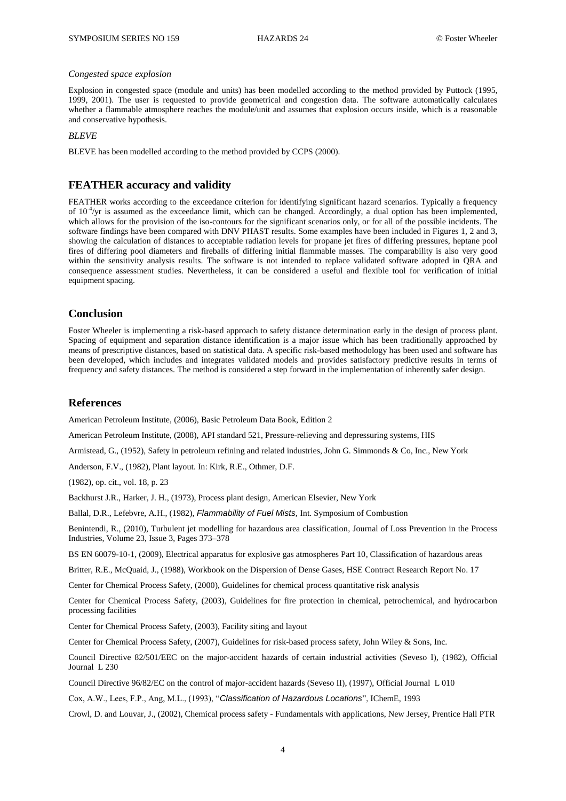#### *Congested space explosion*

Explosion in congested space (module and units) has been modelled according to the method provided by Puttock (1995, 1999, 2001). The user is requested to provide geometrical and congestion data. The software automatically calculates whether a flammable atmosphere reaches the module/unit and assumes that explosion occurs inside, which is a reasonable and conservative hypothesis.

*BLEVE*

BLEVE has been modelled according to the method provided by CCPS (2000).

# **FEATHER accuracy and validity**

FEATHER works according to the exceedance criterion for identifying significant hazard scenarios. Typically a frequency of 10<sup>-4</sup>/yr is assumed as the exceedance limit, which can be changed. Accordingly, a dual option has been implemented, which allows for the provision of the iso-contours for the significant scenarios only, or for all of the possible incidents. The software findings have been compared with DNV PHAST results. Some examples have been included in Figures 1, 2 and 3, showing the calculation of distances to acceptable radiation levels for propane jet fires of differing pressures, heptane pool fires of differing pool diameters and fireballs of differing initial flammable masses. The comparability is also very good within the sensitivity analysis results. The software is not intended to replace validated software adopted in QRA and consequence assessment studies. Nevertheless, it can be considered a useful and flexible tool for verification of initial equipment spacing.

## **Conclusion**

Foster Wheeler is implementing a risk-based approach to safety distance determination early in the design of process plant. Spacing of equipment and separation distance identification is a major issue which has been traditionally approached by means of prescriptive distances, based on statistical data. A specific risk-based methodology has been used and software has been developed, which includes and integrates validated models and provides satisfactory predictive results in terms of frequency and safety distances. The method is considered a step forward in the implementation of inherently safer design.

## **References**

American Petroleum Institute, (2006), Basic Petroleum Data Book, Edition 2

American Petroleum Institute, (2008), API standard 521, Pressure-relieving and depressuring systems, HIS

Armistead, G., (1952), Safety in petroleum refining and related industries, John G. Simmonds & Co, Inc., New York

Anderson, F.V., (1982), Plant layout. In: Kirk, R.E., Othmer, D.F.

(1982), op. cit., vol. 18, p. 23

Backhurst J.R., Harker, J. H., (1973), Process plant design, American Elsevier, New York

Ballal, D.R., Lefebvre, A.H., (1982), *Flammability of Fuel Mists,* Int. Symposium of Combustion

Benintendi, R., (2010), Turbulent jet modelling for hazardous area classification, Journal of Loss Prevention in the Process Industries, Volume 23, Issue 3, Pages 373–378

BS EN 60079-10-1, (2009), Electrical apparatus for explosive gas atmospheres Part 10, Classification of hazardous areas

Britter, R.E., McQuaid, J., (1988), Workbook on the Dispersion of Dense Gases, HSE Contract Research Report No. 17

Center for Chemical Process Safety, (2000), Guidelines for chemical process quantitative risk analysis

Center for Chemical Process Safety, (2003), Guidelines for fire protection in chemical, petrochemical, and hydrocarbon processing facilities

Center for Chemical Process Safety, (2003), Facility siting and layout

Center for Chemical Process Safety, (2007)[, Guidelines for risk-based process](http://www.amazon.com/dp/0470165693/ref=rdr_ext_tmb) safety, John Wiley & Sons, Inc.

Council Directive 82/501/EEC on the major-accident hazards of certain industrial activities (Seveso I), (1982), Official Journal L 230

Council Directive 96/82/EC on the control of major-accident hazards (Seveso II), (1997), Official Journal L 010

Cox, A.W., Lees, F.P., Ang, M.L., (1993), "*Classification of Hazardous Locations*", IChemE, 1993

Crowl, D. and Louvar, J., (2002), Chemical process safety - Fundamentals with applications, New Jersey, Prentice Hall PTR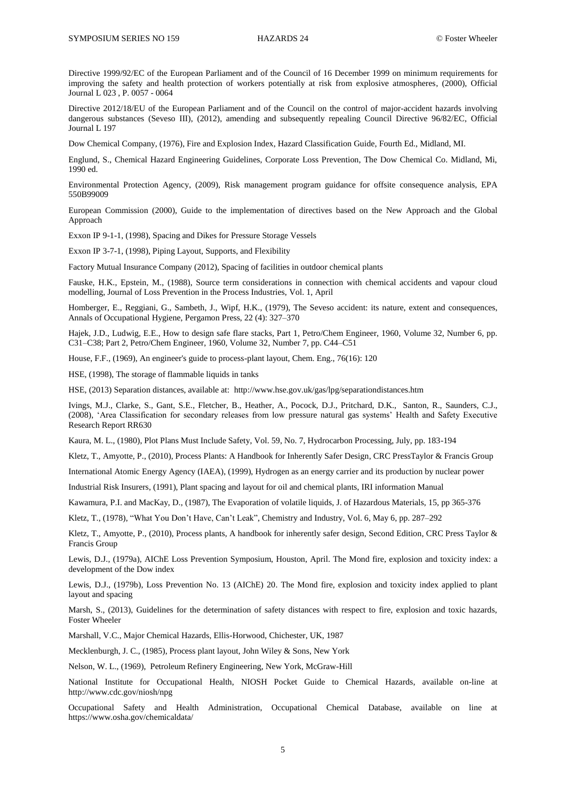Directive 1999/92/EC of the European Parliament and of the Council of 16 December 1999 on minimum requirements for improving the safety and health protection of workers potentially at risk from explosive atmospheres, (2000), Official Journal L 023 , P. 0057 - 0064

Directive 2012/18/EU of the European Parliament and of the Council on the control of major-accident hazards involving dangerous substances (Seveso III), (2012), amending and subsequently repealing Council Directive 96/82/EC, Official Journal L 197

Dow Chemical Company, (1976), Fire and Explosion Index, Hazard Classification Guide, Fourth Ed., Midland, MI.

Englund, S., Chemical Hazard Engineering Guidelines, Corporate Loss Prevention, The Dow Chemical Co. Midland, Mi, 1990 ed.

Environmental Protection Agency, (2009), Risk management program guidance for offsite consequence analysis, EPA 550B99009

European Commission (2000), Guide to the implementation of directives based on the New Approach and the Global Approach

Exxon IP 9-1-1, (1998), Spacing and Dikes for Pressure Storage Vessels

Exxon IP 3-7-1, (1998), Piping Layout, Supports, and Flexibility

Factory Mutual Insurance Company (2012), Spacing of facilities in outdoor chemical plants

Fauske, H.K., Epstein, M., (1988), Source term considerations in connection with chemical accidents and vapour cloud modelling, Journal of Loss Prevention in the Process Industries, Vol. 1, April

Homberger, E., Reggiani, G., Sambeth, J., Wipf, H.K., (1979), The Seveso accident: its nature, extent and consequences, Annals of Occupational Hygiene, Pergamon Press, 22 (4): 327–370

Hajek, J.D., Ludwig, E.E., How to design safe flare stacks, Part 1, Petro/Chem Engineer, 1960, Volume 32, Number 6, pp. C31–C38; Part 2, Petro/Chem Engineer, 1960, Volume 32, Number 7, pp. C44–C51

House, F.F., (1969), An engineer's guide to process-plant layout, Chem. Eng., 76(16): 120

HSE, (1998), The storage of flammable liquids in tanks

HSE, (2013) Separation distances, available at: <http://www.hse.gov.uk/gas/lpg/separationdistances.htm>

Ivings, M.J., Clarke, S., Gant, S.E., Fletcher, B., Heather, A., Pocock, D.J., Pritchard, D.K., Santon, R., Saunders, C.J., (2008), 'Area Classification for secondary releases from low pressure natural gas systems' Health and Safety Executive Research Report RR630

Kaura, M. L., (1980), Plot Plans Must Include Safety, Vol. 59, No. 7, Hydrocarbon Processing, July, pp. 183-194

Kletz, T., Amyotte, P., (2010), Process Plants: A Handbook for Inherently Safer Design, CRC PressTaylor & Francis Group

International Atomic Energy Agency (IAEA), (1999), Hydrogen as an energy carrier and its production by nuclear power

Industrial Risk Insurers, (1991), Plant spacing and layout for oil and chemical plants, IRI information Manual

Kawamura, P.I. and MacKay, D., (1987), The Evaporation of volatile liquids, J. of Hazardous Materials, 15, pp 365-376

Kletz, T., (1978), "What You Don't Have, Can't Leak", Chemistry and Industry, Vol. 6, May 6, pp. 287–292

Kletz, T., Amyotte, P., (2010), Process plants, A handbook for inherently safer design, Second Edition, CRC Press Taylor & Francis Group

Lewis, D.J., (1979a), AIChE Loss Prevention Symposium, Houston, April. The Mond fire, explosion and toxicity index: a development of the Dow index

Lewis, D.J., (1979b), Loss Prevention No. 13 (AIChE) 20. The Mond fire, explosion and toxicity index applied to plant layout and spacing

Marsh, S., (2013), Guidelines for the determination of safety distances with respect to fire, explosion and toxic hazards, Foster Wheeler

Marshall, V.C., Major Chemical Hazards, Ellis-Horwood, Chichester, UK, 1987

Mecklenburgh, J. C., (1985), Process plant layout, John Wiley & Sons, New York

Nelson, W. L., (1969), Petroleum Refinery Engineering, New York, McGraw-Hill

National Institute for Occupational Health, NIOSH Pocket Guide to Chemical Hazards, available on-line at <http://www.cdc.gov/niosh/npg>

Occupational Safety and Health Administration, Occupational Chemical Database, available on line at <https://www.osha.gov/chemicaldata/>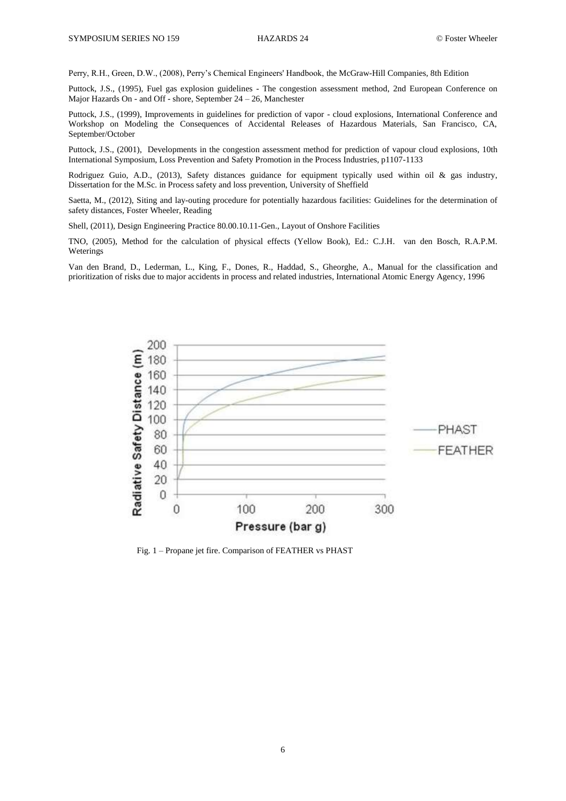Perry, R.H., Green, D.W., (2008), Perry's Chemical Engineers' Handbook, the McGraw-Hill Companies, 8th Edition

Puttock, J.S., (1995), Fuel gas explosion guidelines - The congestion assessment method, 2nd European Conference on Major Hazards On - and Off - shore, September 24 – 26, Manchester

Puttock, J.S., (1999), Improvements in guidelines for prediction of vapor - cloud explosions, International Conference and Workshop on Modeling the Consequences of Accidental Releases of Hazardous Materials, San Francisco, CA, September/October

Puttock, J.S., (2001), Developments in the congestion assessment method for prediction of vapour cloud explosions, 10th International Symposium, Loss Prevention and Safety Promotion in the Process Industries, p1107-1133

Rodriguez Guio, A.D., (2013), Safety distances guidance for equipment typically used within oil & gas industry, Dissertation for the M.Sc. in Process safety and loss prevention, University of Sheffield

Saetta, M., (2012), Siting and lay-outing procedure for potentially hazardous facilities: Guidelines for the determination of safety distances, Foster Wheeler, Reading

Shell, (2011), Design Engineering Practice 80.00.10.11-Gen., Layout of Onshore Facilities

TNO, (2005), Method for the calculation of physical effects (Yellow Book), Ed.: C.J.H. van den Bosch, R.A.P.M. Weterings

Van den Brand, D., Lederman, L., King, F., Dones, R., Haddad, S., Gheorghe, A., Manual for the classification and prioritization of risks due to major accidents in process and related industries, International Atomic Energy Agency, 1996



Fig. 1 – Propane jet fire. Comparison of FEATHER vs PHAST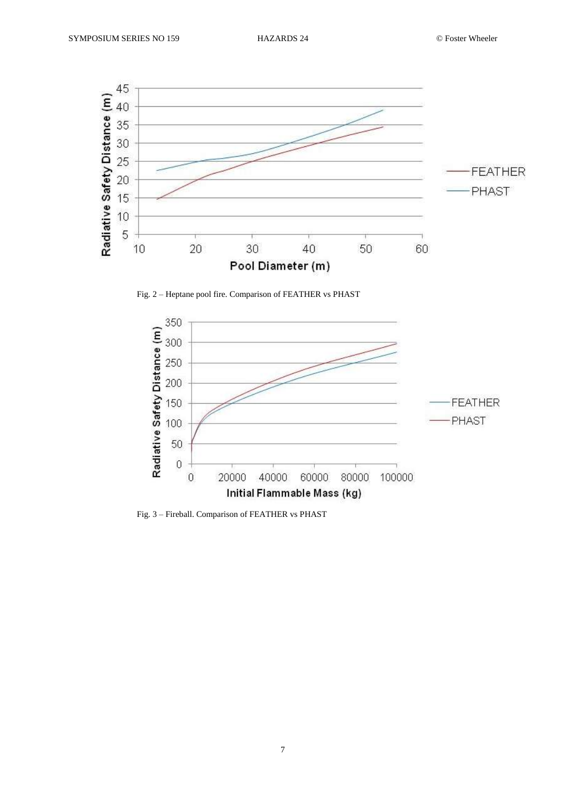

Fig. 2 – Heptane pool fire. Comparison of FEATHER vs PHAST



Fig. 3 – Fireball. Comparison of FEATHER vs PHAST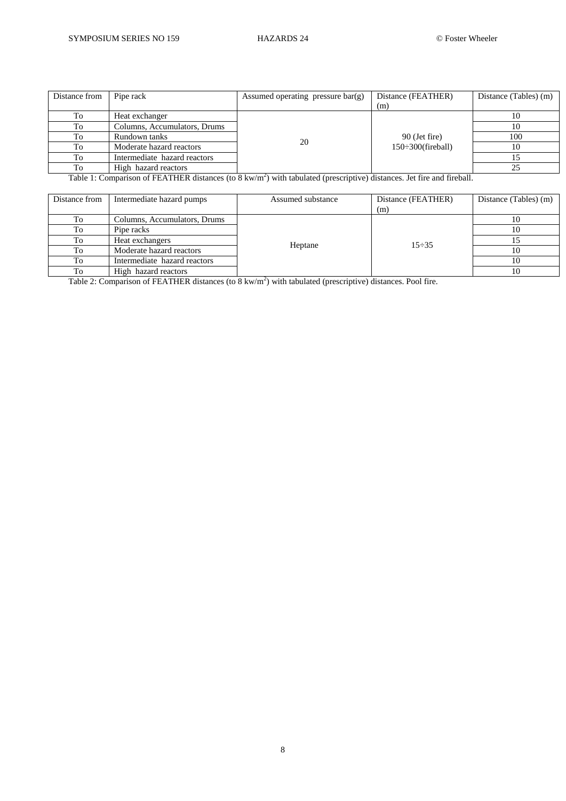| Distance from | Pipe rack                    | Assumed operating pressure $bar(g)$ | Distance (FEATHER)                         | Distance (Tables) (m) |
|---------------|------------------------------|-------------------------------------|--------------------------------------------|-----------------------|
|               |                              |                                     | (m)                                        |                       |
| To            | Heat exchanger               | 20                                  | 90 (Jet fire)<br>$150 \div 300$ (fireball) |                       |
| To            | Columns, Accumulators, Drums |                                     |                                            | 10                    |
| To            | Rundown tanks                |                                     |                                            | 100                   |
| To            | Moderate hazard reactors     |                                     |                                            | 10                    |
| To            | Intermediate hazard reactors |                                     |                                            |                       |
| To            | High hazard reactors         |                                     |                                            | 25                    |

Table 1: Comparison of FEATHER distances (to 8 kw/m<sup>2</sup>) with tabulated (prescriptive) distances. Jet fire and fireball.

| Distance from | Intermediate hazard pumps    | Assumed substance | Distance (FEATHER)<br>(m) | Distance (Tables) (m) |
|---------------|------------------------------|-------------------|---------------------------|-----------------------|
| To            | Columns, Accumulators, Drums | Heptane           | $15 - 35$                 |                       |
| To            | Pipe racks                   |                   |                           | 10                    |
| To            | Heat exchangers              |                   |                           |                       |
| To            | Moderate hazard reactors     |                   |                           | 10                    |
| To            | Intermediate hazard reactors |                   |                           | 10                    |
| To            | High hazard reactors         |                   |                           | 10                    |

Table 2: Comparison of FEATHER distances (to 8 kw/m<sup>2</sup>) with tabulated (prescriptive) distances. Pool fire.